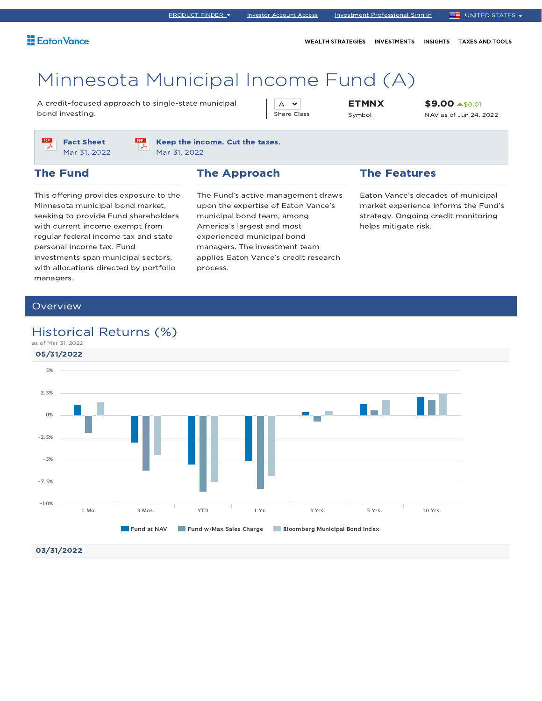WEALTH STRATEGIES INVESTMENTS INSIGHTS TAXES AND TOOLS

# Minnesota Municipal Income Fund (A)

A credit-focused approach to single-state municipal bond investing.

A  $\sim$ Share Class ETMNX Symbol

\$9.00 \$0.01 NAV as of Jun 24, 2022



Keep the income. Cut the taxes. Mar 31, 2022

#### The Fund

### The Approach

This offering provides exposure to the Minnesota municipal bond market, seeking to provide Fund shareholders with current income exempt from regular federal income tax and state personal income tax. Fund investments span municipal sectors, with allocations directed by portfolio managers.

The Fund's active management draws upon the expertise of Eaton Vance's municipal bond team, among America's largest and most experienced municipal bond managers. The investment team applies Eaton Vance's credit research process.

#### The Features

Eaton Vance's decades of municipal market experience informs the Fund's strategy. Ongoing credit monitoring helps mitigate risk.

### **Overview**

### Historical Returns (%)

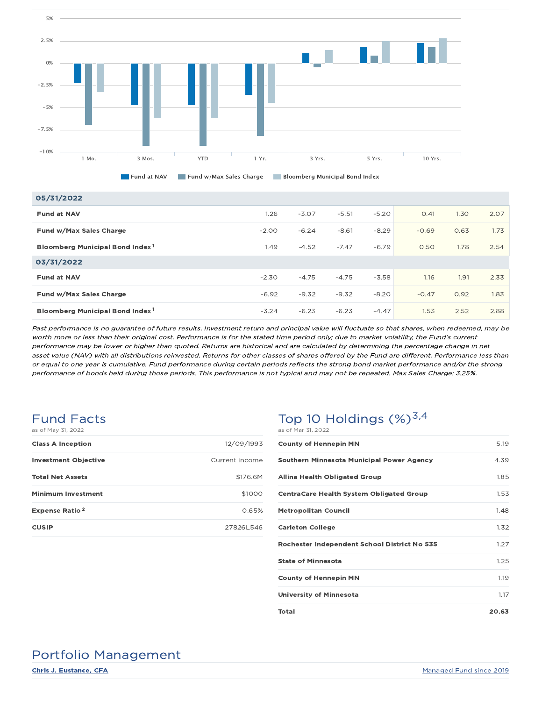

Fund at NAV Fund w/Max Sales Charge Bloomberg Municipal Bond Index

| 05/31/2022                                  |         |         |         |         |         |      |      |
|---------------------------------------------|---------|---------|---------|---------|---------|------|------|
| <b>Fund at NAV</b>                          | 1.26    | $-3.07$ | $-5.51$ | $-5.20$ | O.41    | 1.30 | 2.07 |
| Fund w/Max Sales Charge                     | $-2.00$ | $-6.24$ | $-8.61$ | $-8.29$ | $-0.69$ | 0.63 | 1.73 |
| Bloomberg Municipal Bond Index <sup>1</sup> | 1.49    | $-4.52$ | $-7.47$ | $-6.79$ | 0.50    | 1.78 | 2.54 |
| 03/31/2022                                  |         |         |         |         |         |      |      |
| <b>Fund at NAV</b>                          | $-2.30$ | $-4.75$ | $-4.75$ | $-3.58$ | 1.16    | 1.91 | 2.33 |
| Fund w/Max Sales Charge                     | $-6.92$ | $-9.32$ | $-9.32$ | $-8.20$ | $-0.47$ | 0.92 | 1.83 |
| Bloomberg Municipal Bond Index <sup>1</sup> | $-3.24$ | $-6.23$ | $-6.23$ | $-4.47$ | 1.53    | 2.52 | 2.88 |

Past performance is no guarantee of future results. Investment return and principal value will fluctuate so that shares, when redeemed, may be worth more or less than their original cost. Performance is for the stated time period only; due to market volatility, the Fund's current performance may be lower or higher than quoted. Returns are historical and are calculated by determining the percentage change in net asset value (NAV) with all distributions reinvested. Returns for other classes of shares offered by the Fund are different. Performance less than or equal to one year is cumulative. Fund performance during certain periods reflects the strong bond market performance and/or the strong performance of bonds held during those periods. This performance is not typical and may not be repeated. Max Sales Charge: 3.25%.

#### Fund Facts as of May 31, 2022

| <b>Class A Inception</b>         | 12/09/1993     |
|----------------------------------|----------------|
| <b>Investment Objective</b>      | Current income |
| <b>Total Net Assets</b>          | \$176.6M       |
| <b>Minimum Investment</b>        | \$1000         |
| <b>Expense Ratio<sup>2</sup></b> | 0.65%          |
| <b>CUSIP</b>                     | 278261546      |

### Top 10 Holdings  $(\%)^{3,4}$ as of Mar 31, 2022

| 5.19  |
|-------|
| 4.39  |
| 1.85  |
| 1.53  |
| 1.48  |
| 1.32  |
| 1.27  |
| 1.25  |
| 1.19  |
| 1.17  |
| 20.63 |
|       |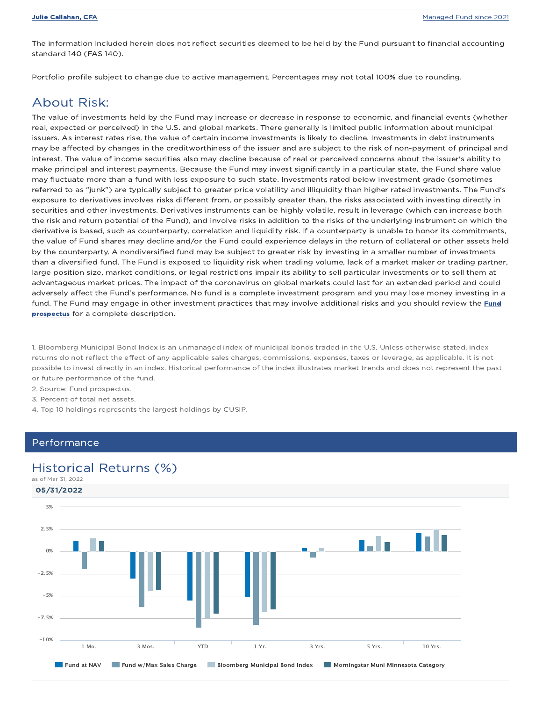The information included herein does not reflect securities deemed to be held by the Fund pursuant to financial accounting standard 140 (FAS 140).

Portfolio profile subject to change due to active management. Percentages may not total 100% due to rounding.

### About Risk:

The value of investments held by the Fund may increase or decrease in response to economic, and financial events (whether real, expected or perceived) in the U.S. and global markets. There generally is limited public information about municipal issuers. As interest rates rise, the value of certain income investments is likely to decline. Investments in debt instruments may be affected by changes in the creditworthiness of the issuer and are subject to the risk of non-payment of principal and interest. The value of income securities also may decline because of real or perceived concerns about the issuer's ability to make principal and interest payments. Because the Fund may invest significantly in a particular state, the Fund share value may fluctuate more than a fund with less exposure to such state. Investments rated below investment grade (sometimes referred to as "junk") are typically subject to greater price volatility and illiquidity than higher rated investments. The Fund's exposure to derivatives involves risks different from, or possibly greater than, the risks associated with investing directly in securities and other investments. Derivatives instruments can be highly volatile, result in leverage (which can increase both the risk and return potential of the Fund), and involve risks in addition to the risks of the underlying instrument on which the derivative is based, such as counterparty, correlation and liquidity risk. If a counterparty is unable to honor its commitments, the value of Fund shares may decline and/or the Fund could experience delays in the return of collateral or other assets held by the counterparty. A nondiversified fund may be subject to greater risk by investing in a smaller number of investments than a diversified fund. The Fund is exposed to liquidity risk when trading volume, lack of a market maker or trading partner, large position size, market conditions, or legal restrictions impair its ability to sell particular investments or to sell them at advantageous market prices. The impact of the coronavirus on global markets could last for an extended period and could adversely affect the Fund's performance. No fund is a complete investment program and you may lose money investing in a fund. The Fund may engage in other investment practices that may involve additional risks and you should review the Fund prospectus for a complete description.

1. Bloomberg Municipal Bond Index is an unmanaged index of municipal bonds traded in the U.S. Unless otherwise stated, index returns do not reflect the effect of any applicable sales charges, commissions, expenses, taxes or leverage, as applicable. It is not possible to invest directly in an index. Historical performance of the index illustrates market trends and does not represent the past or future performance of the fund.

- 2. Source: Fund prospectus.
- 3. Percent of total net assets.
- 4. Top 10 holdings represents the largest holdings by CUSIP.

#### Performance

### Historical Returns (%)

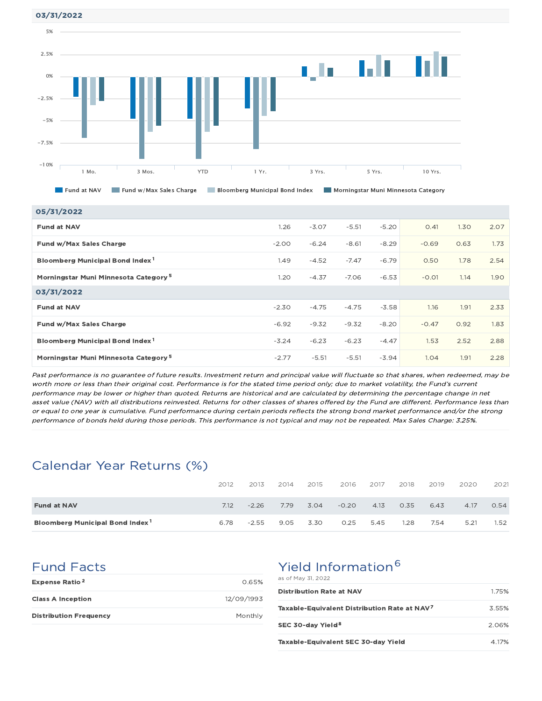03/31/2022



| 05/31/2022                                       |         |         |         |         |         |      |      |
|--------------------------------------------------|---------|---------|---------|---------|---------|------|------|
| <b>Fund at NAV</b>                               | 1.26    | $-3.07$ | $-5.51$ | $-5.20$ | O.41    | 1.30 | 2.07 |
| Fund w/Max Sales Charge                          | $-2.00$ | $-6.24$ | $-8.61$ | $-8.29$ | $-0.69$ | 0.63 | 1.73 |
| Bloomberg Municipal Bond Index <sup>1</sup>      | 1.49    | $-4.52$ | $-7.47$ | $-6.79$ | 0.50    | 1.78 | 2.54 |
| Morningstar Muni Minnesota Category <sup>5</sup> | 1.20    | $-4.37$ | $-7.06$ | $-6.53$ | $-0.01$ | 1.14 | 1.90 |
| 03/31/2022                                       |         |         |         |         |         |      |      |
| <b>Fund at NAV</b>                               | $-2.30$ | $-4.75$ | $-4.75$ | $-3.58$ | 1.16    | 1.91 | 2.33 |
| Fund w/Max Sales Charge                          | $-6.92$ | $-9.32$ | $-9.32$ | $-8.20$ | $-0.47$ | 0.92 | 1.83 |
| Bloomberg Municipal Bond Index <sup>1</sup>      | $-3.24$ | $-6.23$ | $-6.23$ | $-4.47$ | 1.53    | 2.52 | 2.88 |
| Morningstar Muni Minnesota Category <sup>5</sup> | $-2.77$ | $-5.51$ | $-5.51$ | $-3.94$ | 1.04    | 1.91 | 2.28 |

Past performance is no guarantee of future results. Investment return and principal value will fluctuate so that shares, when redeemed, may be worth more or less than their original cost. Performance is for the stated time period only; due to market volatility, the Fund's current performance may be lower or higher than quoted. Returns are historical and are calculated by determining the percentage change in net asset value (NAV) with all distributions reinvested. Returns for other classes of shares offered by the Fund are different. Performance less than or equal to one year is cumulative. Fund performance during certain periods reflects the strong bond market performance and/or the strong performance of bonds held during those periods. This performance is not typical and may not be repeated. Max Sales Charge: 3.25%.

## Calendar Year Returns (%)

|                                             | 2012 | 2013    | 2014 | 2015 | 2016    | 2017 | 2018 | 2019 | 2020 | 2021 |
|---------------------------------------------|------|---------|------|------|---------|------|------|------|------|------|
| <b>Fund at NAV</b>                          | 7.12 | $-2.26$ | 7.79 | 3.04 | $-0.20$ | 4.13 | 0.35 | 6.43 | 4.17 | 0.54 |
| Bloomberg Municipal Bond Index <sup>1</sup> | 6.78 | $-2.55$ | 9.05 | 3.30 | 0.25    | 5.45 | 1.28 | 7.54 | 5.21 | 1.52 |

### Fund Facts

| <b>Expense Ratio<sup>2</sup></b> | 0.65%      |
|----------------------------------|------------|
| <b>Class A Inception</b>         | 12/09/1993 |
| <b>Distribution Frequency</b>    | Monthly    |

## Yield Information<sup>6</sup>

| as of May 31, 2022                                       |       |
|----------------------------------------------------------|-------|
| <b>Distribution Rate at NAV</b>                          | 1.75% |
| Taxable-Equivalent Distribution Rate at NAV <sup>7</sup> | 3.55% |
| SEC 30-day Yield <sup>8</sup>                            | 2.06% |
| Taxable-Equivalent SEC 30-day Yield                      | 4.17% |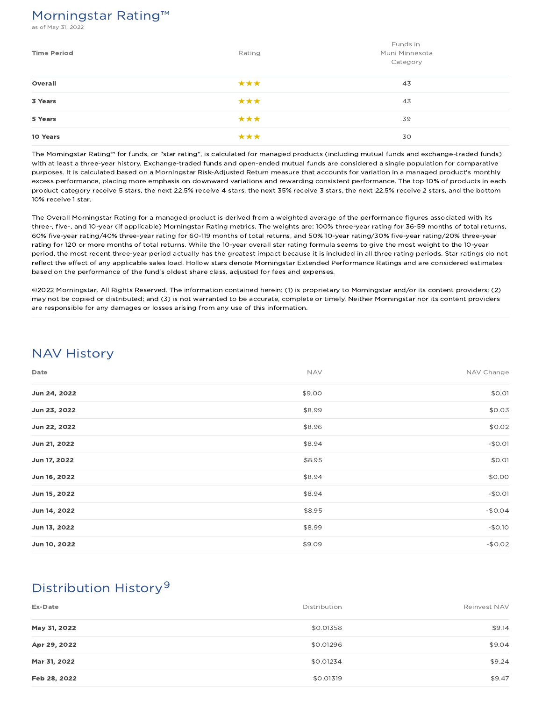## Morningstar Rating™

s of May 31, 2022

| <b>Time Period</b> | Rating | Funds in<br>Muni Minnesota<br>Category |
|--------------------|--------|----------------------------------------|
| Overall            | ***    | 43                                     |
| 3 Years            | ***    | 43                                     |
| 5 Years            | ***    | 39                                     |
| 10 Years           | ***    | 30                                     |

The Morningstar Rating™ for funds, or "star rating", is calculated for managed products (including mutual funds and exchange-traded funds) with at least a three-year history. Exchange-traded funds and open-ended mutual funds are considered a single population for comparative purposes. It is calculated based on a Morningstar Risk-Adjusted Return measure that accounts for variation in a managed product's monthly excess performance, placing more emphasis on downward variations and rewarding consistent performance. The top 10% of products in each product category receive 5 stars, the next 22.5% receive 4 stars, the next 35% receive 3 stars, the next 22.5% receive 2 stars, and the bottom 10% receive 1 star.

The Overall Morningstar Rating for a managed product is derived from a weighted average of the performance figures associated with its three-, five-, and 10-year (if applicable) Morningstar Rating metrics. The weights are: 100% three-year rating for 36-59 months of total returns, 60% five-year rating/40% three-year rating for 60-119 months of total returns, and 50% 10-year rating/30% five-year rating/20% three-year rating for 120 or more months of total returns. While the 10-year overall star rating formula seems to give the most weight to the 10-year period, the most recent three-year period actually has the greatest impact because it is included in all three rating periods. Star ratings do not reflect the effect of any applicable sales load. Hollow stars denote Morningstar Extended Performance Ratings and are considered estimates based on the performance of the fund's oldest share class, adjusted for fees and expenses.

©2022 Morningstar. All Rights Reserved. The information contained herein: (1) is proprietary to Morningstar and/or its content providers; (2) may not be copied or distributed; and (3) is not warranted to be accurate, complete or timely. Neither Morningstar nor its content providers are responsible for any damages or losses arising from any use of this information.

## NAV History

| Date         | <b>NAV</b> | NAV Change |
|--------------|------------|------------|
| Jun 24, 2022 | \$9.00     | \$0.01     |
| Jun 23, 2022 | \$8.99     | \$0.03     |
| Jun 22, 2022 | \$8.96     | \$0.02     |
| Jun 21, 2022 | \$8.94     | $-$0.01$   |
| Jun 17, 2022 | \$8.95     | \$0.01     |
| Jun 16, 2022 | \$8.94     | \$0.00     |
| Jun 15, 2022 | \$8.94     | $-$0.01$   |
| Jun 14, 2022 | \$8.95     | $-$0.04$   |
| Jun 13, 2022 | \$8.99     | $-$0.10$   |
| Jun 10, 2022 | \$9.09     | $-$0.02$   |

## Distribution History 9

| Ex-Date      | Distribution | Reinvest NAV |
|--------------|--------------|--------------|
| May 31, 2022 | \$0.01358    | \$9.14       |
| Apr 29, 2022 | \$0.01296    | \$9.04       |
| Mar 31, 2022 | \$0.01234    | \$9.24       |
| Feb 28, 2022 | \$0.01319    | \$9.47       |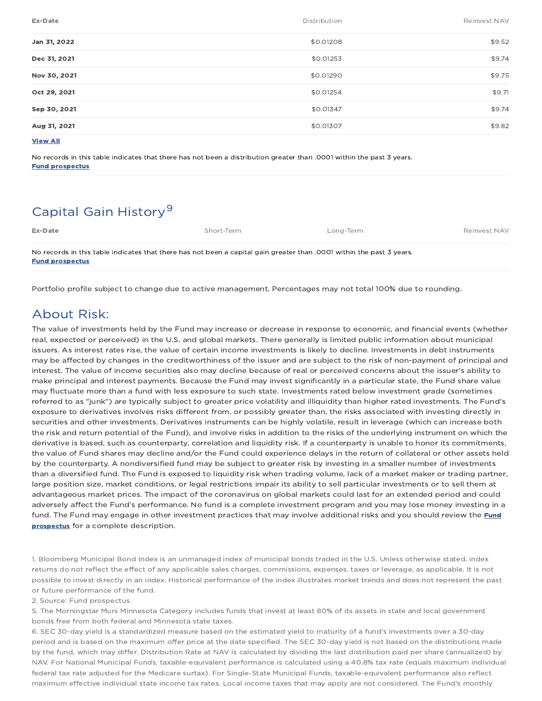| Ex-Date         | Distribution | Reinvest NAV |
|-----------------|--------------|--------------|
| Jan 31, 2022    | \$0.01208    | \$9.52       |
| Dec 31, 2021    | \$0.01253    | \$9.74       |
| Nov 30, 2021    | \$0.01290    | \$9.75       |
| Oct 29, 2021    | \$0.01254    | \$9.71       |
| Sep 30, 2021    | \$0.01347    | \$9.74       |
| Aug 31, 2021    | \$0.01307    | \$9.82       |
| <b>View All</b> |              |              |

No records in this table indicates that there has not been a distribution greater than .0001 within the past 3 years. Fund prospectus

## Capital Gain History<sup>9</sup>

| Ex-Date                                                                                                                                         | Short-Term | Lona-Term | Reinvest NAV |
|-------------------------------------------------------------------------------------------------------------------------------------------------|------------|-----------|--------------|
| No records in this table indicates that there has not been a capital gain greater than .0001 within the past 3 years.<br><b>Fund prospectus</b> |            |           |              |

Portfolio profile subject to change due to active management. Percentages may not total 100% due to rounding.

## About Risk:

The value of investments held by the Fund may increase or decrease in response to economic, and financial events (whether real, expected or perceived) in the U.S. and global markets. There generally is limited public information about municipal issuers. As interest rates rise, the value of certain income investments is likely to decline. Investments in debt instruments may be affected by changes in the creditworthiness of the issuer and are subject to the risk of non-payment of principal and interest. The value of income securities also may decline because of real or perceived concerns about the issuer's ability to make principal and interest payments. Because the Fund may invest significantly in a particular state, the Fund share value may fluctuate more than a fund with less exposure to such state. Investments rated below investment grade (sometimes referred to as "junk") are typically subject to greater price volatility and illiquidity than higher rated investments. The Fund's exposure to derivatives involves risks different from, or possibly greater than, the risks associated with investing directly in securities and other investments. Derivatives instruments can be highly volatile, result in leverage (which can increase both the risk and return potential of the Fund), and involve risks in addition to the risks of the underlying instrument on which the derivative is based, such as counterparty, correlation and liquidity risk. If a counterparty is unable to honor its commitments, the value of Fund shares may decline and/or the Fund could experience delays in the return of collateral or other assets held by the counterparty. A nondiversified fund may be subject to greater risk by investing in a smaller number of investments than a diversified fund. The Fund is exposed to liquidity risk when trading volume, lack of a market maker or trading partner, large position size, market conditions, or legal restrictions impair its ability to sell particular investments or to sell them at advantageous market prices. The impact of the coronavirus on global markets could last for an extended period and could adversely affect the Fund's performance. No fund is a complete investment program and you may lose money investing in a fund. The Fund may engage in other investment practices that may involve additional risks and you should review the Fund prospectus for a complete description.

1. Bloomberg Municipal Bond Index is an unmanaged index of municipal bonds traded in the U.S. Unless otherwise stated, index returns do not reflect the effect of any applicable sales charges, commissions, expenses, taxes or leverage, as applicable. It is not possible to invest directly in an index. Historical performance of the index illustrates market trends and does not represent the past or future performance of the fund.

2. Source: Fund prospectus.

5. The Morningstar Muni Minnesota Category includes funds that invest at least 80% of its assets in state and local government bonds free from both federal and Minnesota state taxes.

6. SEC 30-day yield is a standardized measure based on the estimated yield to maturity of a fund's investments over a 30-day period and is based on the maximum offer price at the date specified. The SEC 30-day yield is not based on the distributions made by the fund, which may differ. Distribution Rate at NAV is calculated by dividing the last distribution paid per share (annualized) by NAV. For National Municipal Funds, taxable-equivalent performance is calculated using a 40.8% tax rate (equals maximum individual federal tax rate adjusted for the Medicare surtax). For Single-State Municipal Funds, taxable-equivalent performance also reflect maximum effective individual state income tax rates. Local income taxes that may apply are not considered. The Fund's monthly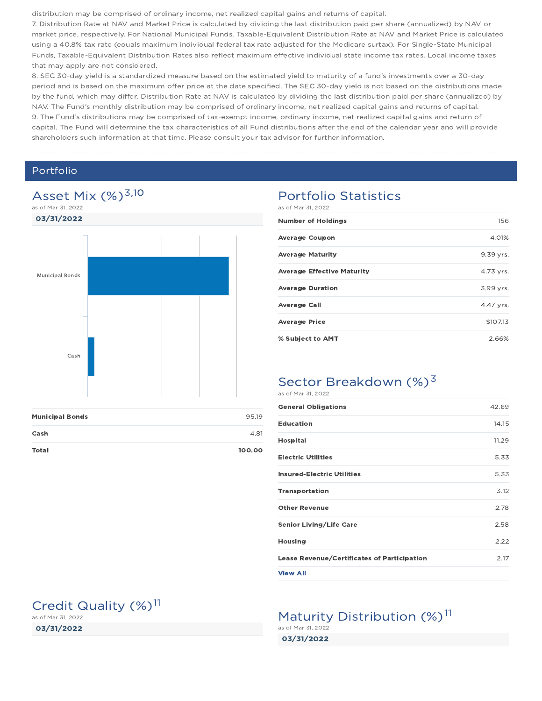distribution may be comprised of ordinary income, net realized capital gains and returns of capital.

7. Distribution Rate at NAV and Market Price is calculated by dividing the last distribution paid per share (annualized) by NAV or market price, respectively. For National Municipal Funds, Taxable-Equivalent Distribution Rate at NAV and Market Price is calculated using a 40.8% tax rate (equals maximum individual federal tax rate adjusted for the Medicare surtax). For Single-State Municipal Funds, Taxable-Equivalent Distribution Rates also reflect maximum effective individual state income tax rates. Local income taxes that may apply are not considered.

8. SEC 30-day yield is a standardized measure based on the estimated yield to maturity of a fund's investments over a 30-day period and is based on the maximum offer price at the date specified. The SEC 30-day yield is not based on the distributions made by the fund, which may differ. Distribution Rate at NAV is calculated by dividing the last distribution paid per share (annualized) by NAV. The Fund's monthly distribution may be comprised of ordinary income, net realized capital gains and returns of capital. 9. The Fund's distributions may be comprised of tax-exempt income, ordinary income, net realized capital gains and return of capital. The Fund will determine the tax characteristics of all Fund distributions after the end of the calendar year and will provide shareholders such information at that time. Please consult your tax advisor for further information.

### Portfolio

03/31/2022

as of Mar 31, 2022

Credit Quality (%)<sup>11</sup>



| <b>Municipal Bonds</b> | 95.19  |
|------------------------|--------|
| Cash                   | 4.81   |
| <b>Total</b>           | 100.00 |

#### Portfolio Statistics as of Mar 31, 2022

| <b>Number of Holdings</b>         | 156       |
|-----------------------------------|-----------|
| <b>Average Coupon</b>             | 4.01%     |
| <b>Average Maturity</b>           | 9.39 yrs. |
| <b>Average Effective Maturity</b> | 4.73 vrs. |
| <b>Average Duration</b>           | 3.99 yrs. |
| <b>Average Call</b>               | 4.47 vrs. |
| <b>Average Price</b>              | \$107.13  |
| % Subject to AMT                  | 2.66%     |
|                                   |           |

#### Sector Breakdown (%)<sup>3</sup> as of Mar 31, 2022

| <b>General Obligations</b>                         | 42.69 |
|----------------------------------------------------|-------|
| <b>Education</b>                                   | 14.15 |
| <b>Hospital</b>                                    | 11.29 |
| <b>Electric Utilities</b>                          | 5.33  |
| <b>Insured-Electric Utilities</b>                  | 5.33  |
| <b>Transportation</b>                              | 3.12  |
| <b>Other Revenue</b>                               | 2.78  |
| <b>Senior Living/Life Care</b>                     | 2.58  |
| <b>Housing</b>                                     | 2.22  |
| <b>Lease Revenue/Certificates of Participation</b> | 2.17  |
| <b>View All</b>                                    |       |

Maturity Distribution (%)<sup>11</sup>

03/31/2022 as of Mar 31, 2022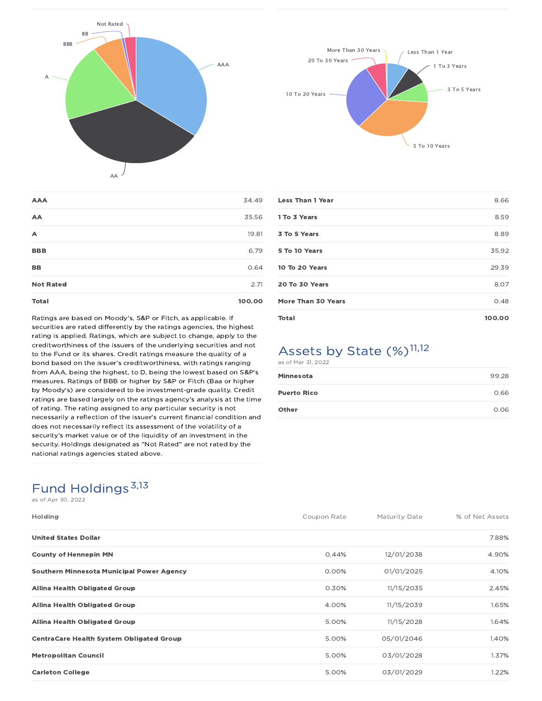



| <b>Total</b>     | 100.00 |
|------------------|--------|
| <b>Not Rated</b> | 2.71   |
| BB               | 0.64   |
| <b>BBB</b>       | 6.79   |
| A                | 19.81  |
| AA               | 35.56  |
| <b>AAA</b>       | 34.49  |
|                  |        |

Ratings are based on Moody's, S&P or Fitch, as applicable. If securities are rated differently by the ratings agencies, the highest rating is applied. Ratings, which are subject to change, apply to the creditworthiness of the issuers of the underlying securities and not to the Fund or its shares. Credit ratings measure the quality of a bond based on the issuer's creditworthiness, with ratings ranging from AAA, being the highest, to D, being the lowest based on S&P's measures. Ratings of BBB or higher by S&P or Fitch (Baa or higher by Moody's) are considered to be investment-grade quality. Credit ratings are based largely on the ratings agency's analysis at the time of rating. The rating assigned to any particular security is not necessarily a reflection of the issuer's current financial condition and does not necessarily reflect its assessment of the volatility of a security's market value or of the liquidity of an investment in the security. Holdings designated as "Not Rated" are not rated by the national ratings agencies stated above.

| <b>Less Than 1 Year</b>   | 8.66   |
|---------------------------|--------|
| 1 To 3 Years              | 8.59   |
| 3 To 5 Years              | 8.89   |
| 5 To 10 Years             | 35.92  |
| 10 To 20 Years            | 29.39  |
| 20 To 30 Years            | 8.07   |
| <b>More Than 30 Years</b> | 0.48   |
| <b>Total</b>              | 100.00 |

### Assets by State (%)<sup>11,12</sup> as of Mar 31, 2022

| Minnesota          | 99.28 |
|--------------------|-------|
| <b>Puerto Rico</b> | 0.66  |
| Other              | 0.06  |

## Fund Holdings<sup>3,13</sup>

as of Apr 30, 2022

| <b>Holding</b>                                   | Coupon Rate | Maturity Date | % of Net Assets |
|--------------------------------------------------|-------------|---------------|-----------------|
| <b>United States Dollar</b>                      |             |               | 7.88%           |
| <b>County of Hennepin MN</b>                     | 0.44%       | 12/01/2038    | 4.90%           |
| <b>Southern Minnesota Municipal Power Agency</b> | $0.00\%$    | 01/01/2025    | 4.10%           |
| <b>Allina Health Obligated Group</b>             | 0.30%       | 11/15/2035    | 2.45%           |
| <b>Allina Health Obligated Group</b>             | 4.00%       | 11/15/2039    | 1.65%           |
| <b>Allina Health Obligated Group</b>             | 5.00%       | 11/15/2028    | 1.64%           |
| <b>CentraCare Health System Obligated Group</b>  | 5.00%       | 05/01/2046    | 1.40%           |
| <b>Metropolitan Council</b>                      | 5.00%       | 03/01/2028    | 1.37%           |
| <b>Carleton College</b>                          | 5.00%       | 03/01/2029    | 1.22%           |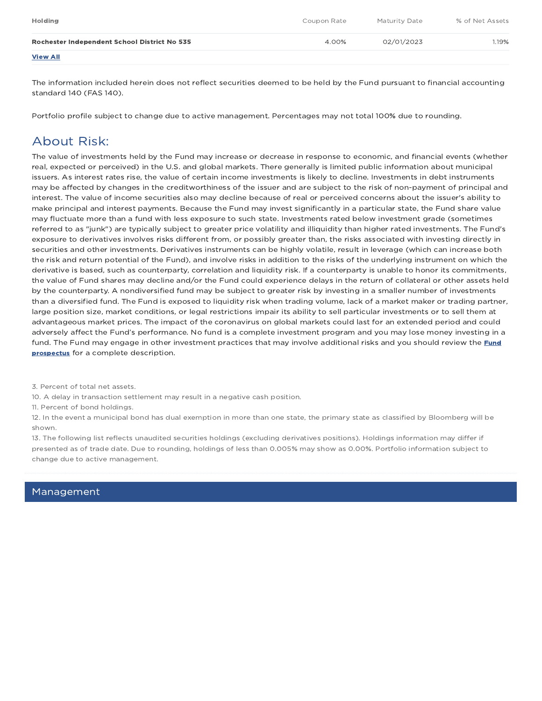| <b>Holding</b>                               | Coupon Rate | Maturity Date | % of Net Assets |
|----------------------------------------------|-------------|---------------|-----------------|
| Rochester Independent School District No 535 | 4.00%       | 02/01/2023    | 1.19%           |
| <b>View All</b>                              |             |               |                 |

The information included herein does not reflect securities deemed to be held by the Fund pursuant to financial accounting standard 140 (FAS 140).

Portfolio profile subject to change due to active management. Percentages may not total 100% due to rounding.

## About Risk:

The value of investments held by the Fund may increase or decrease in response to economic, and financial events (whether real, expected or perceived) in the U.S. and global markets. There generally is limited public information about municipal issuers. As interest rates rise, the value of certain income investments is likely to decline. Investments in debt instruments may be affected by changes in the creditworthiness of the issuer and are subject to the risk of non-payment of principal and interest. The value of income securities also may decline because of real or perceived concerns about the issuer's ability to make principal and interest payments. Because the Fund may invest significantly in a particular state, the Fund share value may fluctuate more than a fund with less exposure to such state. Investments rated below investment grade (sometimes referred to as "junk") are typically subject to greater price volatility and illiquidity than higher rated investments. The Fund's exposure to derivatives involves risks different from, or possibly greater than, the risks associated with investing directly in securities and other investments. Derivatives instruments can be highly volatile, result in leverage (which can increase both the risk and return potential of the Fund), and involve risks in addition to the risks of the underlying instrument on which the derivative is based, such as counterparty, correlation and liquidity risk. If a counterparty is unable to honor its commitments, the value of Fund shares may decline and/or the Fund could experience delays in the return of collateral or other assets held by the counterparty. A nondiversified fund may be subject to greater risk by investing in a smaller number of investments than a diversified fund. The Fund is exposed to liquidity risk when trading volume, lack of a market maker or trading partner, large position size, market conditions, or legal restrictions impair its ability to sell particular investments or to sell them at advantageous market prices. The impact of the coronavirus on global markets could last for an extended period and could adversely affect the Fund's performance. No fund is a complete investment program and you may lose money investing in a fund. The Fund may engage in other investment practices that may involve additional risks and you should review the **Fund prospectus** for a complete description.

3. Percent of total net assets.

10. A delay in transaction settlement may result in a negative cash position.

11. Percent of bond holdings.

12. In the event a municipal bond has dual exemption in more than one state, the primary state as classified by Bloomberg will be shown.

13. The following list reflects unaudited securities holdings (excluding derivatives positions). Holdings information may differ if presented as of trade date. Due to rounding, holdings of less than 0.005% may show as 0.00%. Portfolio information subject to change due to active management.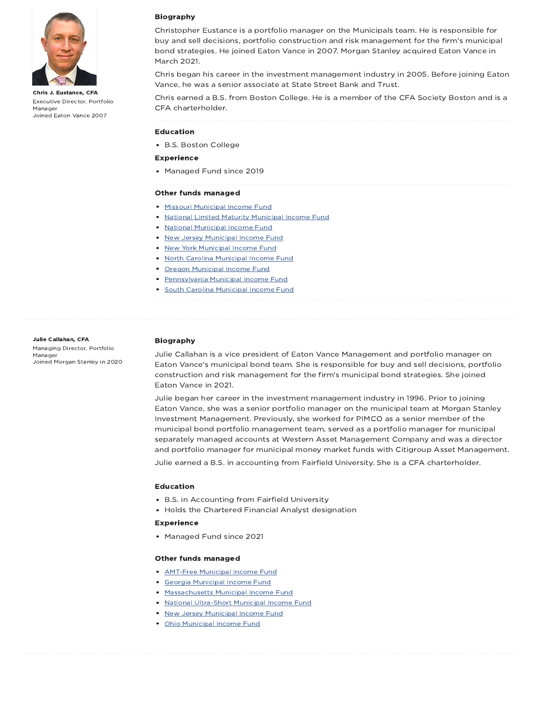

Chris J. Eustance, CFA Executive Director, Portfolio Manager Joined Eaton Vance 2007

#### Biography

Christopher Eustance is a portfolio manager on the Municipals team. He is responsible for buy and sell decisions, portfolio construction and risk management for the firm's municipal bond strategies. He joined Eaton Vance in 2007. Morgan Stanley acquired Eaton Vance in March 2021.

Chris began his career in the investment management industry in 2005. Before joining Eaton Vance, he was a senior associate at State Street Bank and Trust.

Chris earned a B.S. from Boston College. He is a member of the CFA Society Boston and is a CFA charterholder.

#### Education

B.S. Boston College

#### Experience

Managed Fund since 2019

#### Other funds managed

- Missouri Municipal Income Fund
- National Limited Maturity Municipal Income Fund
- National Municipal Income Fund
- New Jersey Municipal Income Fund
- New York Municipal Income Fund
- North Carolina Municipal Income Fund
- Oregon Municipal Income Fund
- **Pennsylvania Municipal Income Fund**
- **South Carolina Municipal Income Fund**

#### Julie Callahan, CFA

Managing Director, Portfolio Manager Joined Morgan Stanley in 2020

#### Biography

Julie Callahan is a vice president of Eaton Vance Management and portfolio manager on Eaton Vance's municipal bond team. She is responsible for buy and sell decisions, portfolio construction and risk management for the firm's municipal bond strategies. She joined Eaton Vance in 2021.

Julie began her career in the investment management industry in 1996. Prior to joining Eaton Vance, she was a senior portfolio manager on the municipal team at Morgan Stanley Investment Management. Previously, she worked for PIMCO as a senior member of the municipal bond portfolio management team, served as a portfolio manager for municipal separately managed accounts at Western Asset Management Company and was a director and portfolio manager for municipal money market funds with Citigroup Asset Management.

Julie earned a B.S. in accounting from Fairfield University. She is a CFA charterholder.

#### Education

- B.S. in Accounting from Fairfield University
- Holds the Chartered Financial Analyst designation

#### Experience

Managed Fund since 2021

#### Other funds managed

- **AMT-Free Municipal Income Fund**
- Georgia Municipal Income Fund
- Massachusetts Municipal Income Fund
- National Ultra-Short Municipal Income Fund
- New Jersey Municipal Income Fund
- Ohio Municipal Income Fund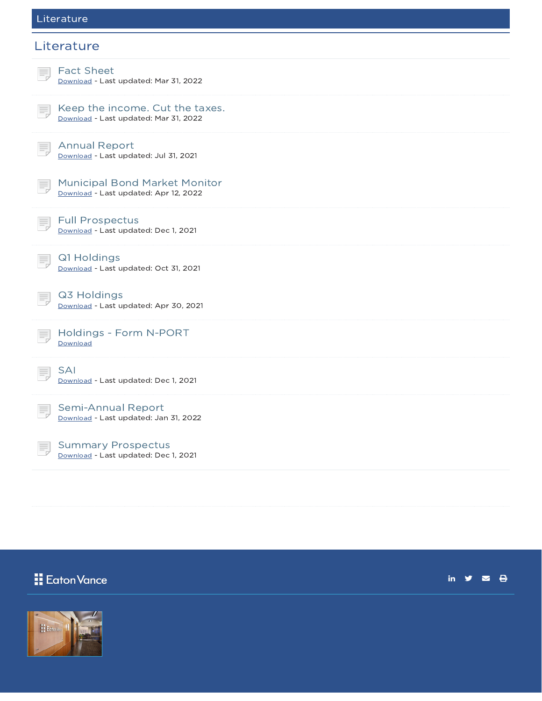#### Literature

### **Literature**



Eaton Vance